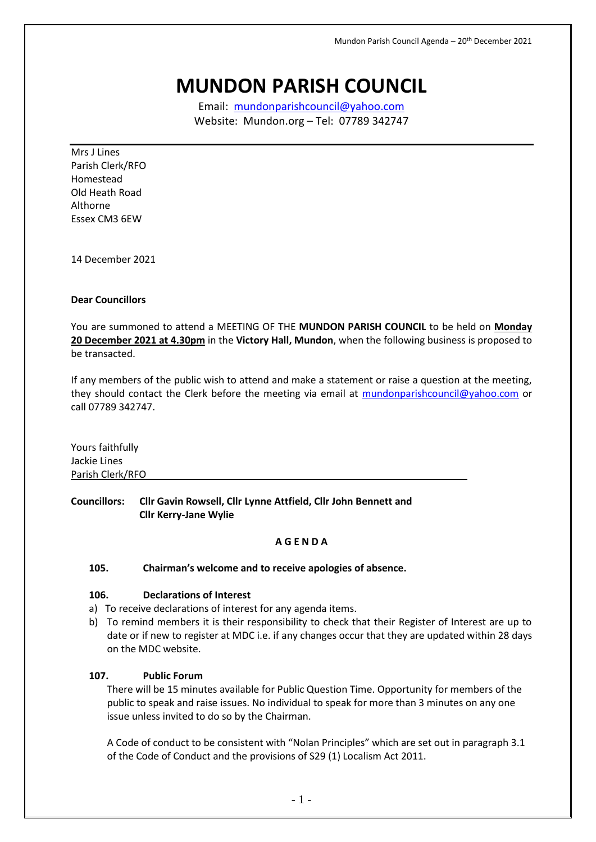# **MUNDON PARISH COUNCIL**

Email: [mundonparishcouncil@yahoo.com](mailto:mundonparishcouncil@yahoo.com) Website: Mundon.org – Tel: 07789 342747

Mrs J Lines Parish Clerk/RFO Homestead Old Heath Road Althorne Essex CM3 6EW

14 December 2021

#### **Dear Councillors**

You are summoned to attend a MEETING OF THE **MUNDON PARISH COUNCIL** to be held on **Monday 20 December 2021 at 4.30pm** in the **Victory Hall, Mundon**, when the following business is proposed to be transacted.

If any members of the public wish to attend and make a statement or raise a question at the meeting, they should contact the Clerk before the meeting via email at [mundonparishcouncil@yahoo.com](mailto:mundonparishcouncil@yahoo.com) or call 07789 342747.

Yours faithfully Jackie Lines Parish Clerk/RFO

**Councillors: Cllr Gavin Rowsell, Cllr Lynne Attfield, Cllr John Bennett and Cllr Kerry-Jane Wylie**

#### **A G E N D A**

#### **105. Chairman's welcome and to receive apologies of absence.**

## **106. Declarations of Interest**

- a) To receive declarations of interest for any agenda items.
- b) To remind members it is their responsibility to check that their Register of Interest are up to date or if new to register at MDC i.e. if any changes occur that they are updated within 28 days on the MDC website.

### **107. Public Forum**

There will be 15 minutes available for Public Question Time. Opportunity for members of the public to speak and raise issues. No individual to speak for more than 3 minutes on any one issue unless invited to do so by the Chairman.

A Code of conduct to be consistent with "Nolan Principles" which are set out in paragraph 3.1 of the Code of Conduct and the provisions of S29 (1) Localism Act 2011.